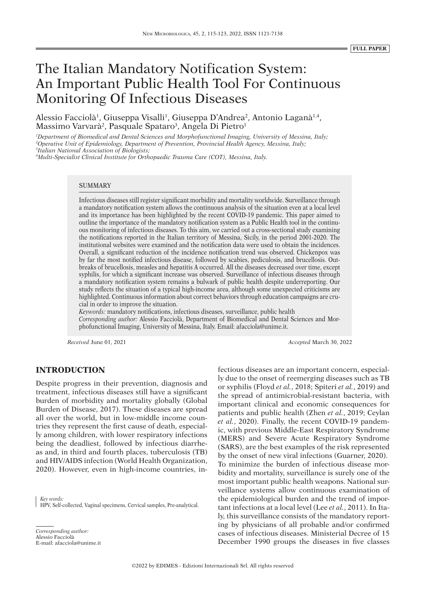# The Italian Mandatory Notification System: An Important Public Health Tool For Continuous Monitoring Of Infectious Diseases

Alessio Facciolà<sup>1</sup>, Giuseppa Visalli<sup>1</sup>, Giuseppa D'Andrea<sup>2</sup>, Antonio Laganà<sup>1,4</sup>, Massimo Varvarà<sup>2</sup>, Pasquale Spataro<sup>3</sup>, Angela Di Pietro<sup>1</sup>

*1 Department of Biomedical and Dental Sciences and Morphofunctional Imaging, University of Messina, Italy; 2 Operative Unit of Epidemiology, Department of Prevention, Provincial Health Agency, Messina, Italy; 3 Italian National Association of Biologists;*

*4 Multi-Specialist Clinical Institute for Orthopaedic Trauma Care (COT), Messina, Italy.*

#### **SUMMARY**

Infectious diseases still register significant morbidity and mortality worldwide. Surveillance through a mandatory notification system allows the continuous analysis of the situation even at a local level and its importance has been highlighted by the recent COVID-19 pandemic. This paper aimed to outline the importance of the mandatory notification system as a Public Health tool in the continuous monitoring of infectious diseases. To this aim, we carried out a cross-sectional study examining the notifications reported in the Italian territory of Messina, Sicily, in the period 2001-2020. The institutional websites were examined and the notification data were used to obtain the incidences. Overall, a significant reduction of the incidence notification trend was observed. Chickenpox was by far the most notified infectious disease, followed by scabies, pediculosis, and brucellosis. Outbreaks of brucellosis, measles and hepatitis A occurred. All the diseases decreased over time, except syphilis, for which a significant increase was observed. Surveillance of infectious diseases through a mandatory notification system remains a bulwark of public health despite underreporting. Our study reflects the situation of a typical high-income area, although some unexpected criticisms are highlighted. Continuous information about correct behaviors through education campaigns are crucial in order to improve the situation.

*Keywords:* mandatory notifications, infectious diseases, surveillance, public health *Corresponding author:* Alessio Facciolà, Department of Biomedical and Dental Sciences and Morphofunctional Imaging, University of Messina, Italy. Email: afacciola@unime.it.

*Received* June 01, 2021 *Accepted* March 30, 2022

## **INTRODUCTION**

Despite progress in their prevention, diagnosis and treatment, infectious diseases still have a significant burden of morbidity and mortality globally (Global Burden of Disease, 2017). These diseases are spread all over the world, but in low-middle income countries they represent the first cause of death, especially among children, with lower respiratory infections being the deadliest, followed by infectious diarrheas and, in third and fourth places, tuberculosis (TB) and HIV/AIDS infection (World Health Organization, 2020). However, even in high-income countries, in-

*Key words:* HPV, Self-collected, Vaginal specimens, Cervical samples, Pre-analytical.

*Corresponding author:* Alessio Facciolà E-mail: afacciola@unime.it fectious diseases are an important concern, especially due to the onset of reemerging diseases such as TB or syphilis (Floyd *et al.*, 2018; Spiteri *et al.*, 2019) and the spread of antimicrobial-resistant bacteria, with important clinical and economic consequences for patients and public health (Zhen *et al.*, 2019; Ceylan *et al.*, 2020). Finally, the recent COVID-19 pandemic, with previous Middle-East Respiratory Syndrome (MERS) and Severe Acute Respiratory Syndrome (SARS), are the best examples of the risk represented by the onset of new viral infections (Guarner, 2020). To minimize the burden of infectious disease morbidity and mortality, surveillance is surely one of the most important public health weapons. National surveillance systems allow continuous examination of the epidemiological burden and the trend of important infections at a local level (Lee *et al.*, 2011). In Italy, this surveillance consists of the mandatory reporting by physicians of all probable and/or confirmed cases of infectious diseases. Ministerial Decree of 15 December 1990 groups the diseases in five classes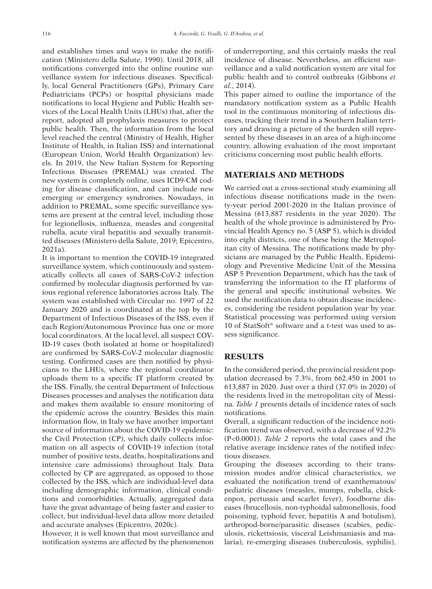and establishes times and ways to make the notification (Ministero della Salute, 1990). Until 2018, all notifications converged into the online routine surveillance system for infectious diseases. Specifically, local General Practitioners (GPs), Primary Care Pediatricians (PCPs) or hospital physicians made notifications to local Hygiene and Public Health services of the Local Health Units (LHUs) that, after the report, adopted all prophylaxis measures to protect public health. Then, the information from the local level reached the central (Ministry of Health, Higher Institute of Health, in Italian ISS) and international (European Union, World Health Organization) levels. In 2019, the New Italian System for Reporting Infectious Diseases (PREMAL) was created. The new system is completely online, uses ICD9-CM coding for disease classification, and can include new emerging or emergency syndromes. Nowadays, in addition to PREMAL, some specific surveillance systems are present at the central level, including those for legionellosis, influenza, measles and congenital rubella, acute viral hepatitis and sexually transmitted diseases (Ministero della Salute, 2019; Epicentro, 2021a).

It is important to mention the COVID-19 integrated surveillance system, which continuously and systematically collects all cases of SARS-CoV-2 infection confirmed by molecular diagnosis performed by various regional reference laboratories across Italy. The system was established with Circular no. 1997 of 22 January 2020 and is coordinated at the top by the Department of Infectious Diseases of the ISS, even if each Region/Autonomous Province has one or more local coordinators. At the local level, all suspect COV-ID-19 cases (both isolated at home or hospitalized) are confirmed by SARS-CoV-2 molecular diagnostic testing. Confirmed cases are then notified by physicians to the LHUs, where the regional coordinator uploads them to a specific IT platform created by the ISS. Finally, the central Department of Infectious Diseases processes and analyses the notification data and makes them available to ensure monitoring of the epidemic across the country. Besides this main information flow, in Italy we have another important source of information about the COVID-19 epidemic: the Civil Protection (CP), which daily collects information on all aspects of COVID-19 infection (total number of positive tests, deaths, hospitalizations and intensive care admissions) throughout Italy. Data collected by CP are aggregated, as opposed to those collected by the ISS, which are individual-level data including demographic information, clinical conditions and comorbidities. Actually, aggregated data have the great advantage of being faster and easier to collect, but individual-level data allow more detailed and accurate analyses (Epicentro, 2020c).

However, it is well known that most surveillance and notification systems are affected by the phenomenon

of underreporting, and this certainly masks the real incidence of disease. Nevertheless, an efficient surveillance and a valid notification system are vital for public health and to control outbreaks (Gibbons *et al.*, 2014).

This paper aimed to outline the importance of the mandatory notification system as a Public Health tool in the continuous monitoring of infectious diseases, tracking their trend in a Southern Italian territory and drawing a picture of the burden still represented by these diseases in an area of a high-income country, allowing evaluation of the most important criticisms concerning most public health efforts.

# **MATERIALS AND METHODS**

We carried out a cross-sectional study examining all infectious disease notifications made in the twenty-year period 2001-2020 in the Italian province of Messina (613,887 residents in the year 2020). The health of the whole province is administered by Provincial Health Agency no. 5 (ASP 5), which is divided into eight districts, one of these being the Metropolitan city of Messina. The notifications made by physicians are managed by the Public Health, Epidemiology and Preventive Medicine Unit of the Messina ASP 5 Prevention Department, which has the task of transferring the information to the IT platforms of the general and specific institutional websites. We used the notification data to obtain disease incidences, considering the resident population year by year. Statistical processing was performed using version 10 of StatSoft® software and a t-test was used to assess significance.

#### **RESULTS**

In the considered period, the provincial resident population decreased by 7.3%, from 662,450 in 2001 to 613,887 in 2020. Just over a third (37.0% in 2020) of the residents lived in the metropolitan city of Messina. *Table 1* presents details of incidence rates of such notifications.

Overall, a significant reduction of the incidence notification trend was observed, with a decrease of 92.2% (P<0.0001). *Table 2* reports the total cases and the relative average incidence rates of the notified infectious diseases.

Grouping the diseases according to their transmission modes and/or clinical characteristics, we evaluated the notification trend of exanthematous/ pediatric diseases (measles, mumps, rubella, chickenpox, pertussis and scarlet fever), foodborne diseases (brucellosis, non-typhoidal salmonellosis, food poisoning, typhoid fever, hepatitis A and botulism), arthropod-borne/parasitic diseases (scabies, pediculosis, rickettsiosis, visceral Leishmaniasis and malaria), re-emerging diseases (tuberculosis, syphilis),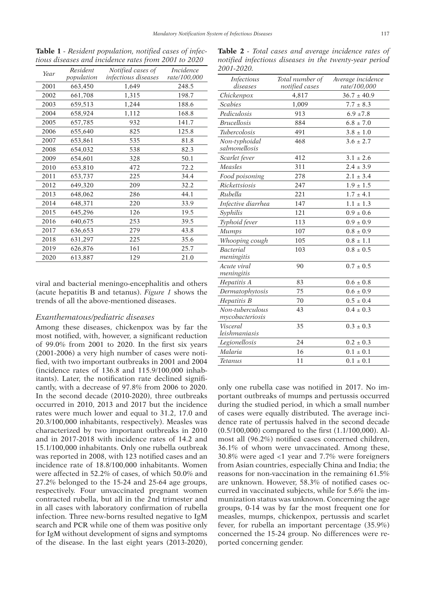| Year | Resident   | Notified cases of   | <i>Incidence</i> |
|------|------------|---------------------|------------------|
|      | population | infectious diseases | rate/100,000     |
| 2001 | 663,450    | 1,649               | 248.5            |
| 2002 | 661,708    | 1,315               | 198.7            |
| 2003 | 659,513    | 1,244               | 188.6            |
| 2004 | 658,924    | 1,112               | 168.8            |
| 2005 | 657,785    | 932                 | 141.7            |
| 2006 | 655,640    | 825                 | 125.8            |
| 2007 | 653,861    | 535                 | 81.8             |
| 2008 | 654,032    | 538                 | 82.3             |
| 2009 | 654,601    | 328                 | 50.1             |
| 2010 | 653,810    | 472                 | 72.2             |
| 2011 | 653,737    | 225                 | 34.4             |
| 2012 | 649,320    | 209                 | 32.2             |
| 2013 | 648,062    | 286                 | 44.1             |
| 2014 | 648,371    | 220                 | 33.9             |
| 2015 | 645,296    | 126                 | 19.5             |
| 2016 | 640,675    | 253                 | 39.5             |
| 2017 | 636,653    | 279                 | 43.8             |
| 2018 | 631,297    | 225                 | 35.6             |
| 2019 | 626,876    | 161                 | 25.7             |
| 2020 | 613,887    | 129                 | 21.0             |
|      |            |                     |                  |

**Table 1** *- Resident population, notified cases of infectious diseases and incidence rates from 2001 to 2020*

viral and bacterial meningo-encephalitis and others (acute hepatitis B and tetanus). *Figure 1* shows the trends of all the above-mentioned diseases.

#### *Exanthematous/pediatric diseases*

Among these diseases, chickenpox was by far the most notified, with, however, a significant reduction of 99.0% from 2001 to 2020. In the first six years (2001-2006) a very high number of cases were notified, with two important outbreaks in 2001 and 2004 (incidence rates of 136.8 and 115.9/100,000 inhabitants). Later, the notification rate declined significantly, with a decrease of 97.8% from 2006 to 2020. In the second decade (2010-2020), three outbreaks occurred in 2010, 2013 and 2017 but the incidence rates were much lower and equal to 31.2, 17.0 and 20.3/100,000 inhabitants, respectively). Measles was characterized by two important outbreaks in 2010 and in 2017-2018 with incidence rates of 14.2 and 15.1/100,000 inhabitants. Only one rubella outbreak was reported in 2008, with 123 notified cases and an incidence rate of 18.8/100,000 inhabitants. Women were affected in 52.2% of cases, of which 50.0% and 27.2% belonged to the 15-24 and 25-64 age groups, respectively. Four unvaccinated pregnant women contracted rubella, but all in the 2nd trimester and in all cases with laboratory confirmation of rubella infection. Three new-borns resulted negative to IgM search and PCR while one of them was positive only for IgM without development of signs and symptoms of the disease. In the last eight years (2013-2020),

| <i>Infectious</i><br>diseases  | Total number of         | Average incidence               |
|--------------------------------|-------------------------|---------------------------------|
|                                | notified cases<br>4,817 | rate/100,000<br>$36.7 \pm 40.9$ |
| Chickenpox<br><b>Scabies</b>   |                         |                                 |
|                                | 1,009                   | $7.7 \pm 8.3$                   |
| Pediculosis                    | 913                     | $6.9 + 7.8$                     |
| <b>Brucellosis</b>             | 884                     | $6.8 \pm 7.0$                   |
| <i>Tubercolosis</i>            | 491                     | $3.8 \pm 1.0$                   |
| Non-typhoidal<br>salmonellosis | 468                     | $3.6 \pm 2.7$                   |
| Scarlet fever                  | 412                     | $3.1 \pm 2.6$                   |
| Measles                        | 311                     | $2.4 \pm 3.9$                   |
| Food poisoning                 | 278                     | $2.1 \pm 3.4$                   |
| Rickettsiosis                  | 247                     | $1.9 \pm 1.5$                   |
| Rubella                        | 221                     | $1.7 \pm 4.1$                   |
| Infective diarrhea             | 147                     | $1.1 \pm 1.3$                   |
| Syphilis                       | 121                     | $0.9 \pm 0.6$                   |
| Typhoid fever                  | 113                     | $0.9 \pm 0.9$                   |
| <b>Mumps</b>                   | 107                     | $0.8 \pm 0.9$                   |
| Whooping cough                 | 105                     | $0.8 \pm 1.1$                   |
| <b>Bacterial</b>               | 103                     | $0.8 \pm 0.5$                   |
| meningitis                     |                         |                                 |
| Acute viral<br>meningitis      | 90                      | $0.7 \pm 0.5$                   |
| Hepatitis A                    | 83                      | $0.6 \pm 0.8$                   |
| Dermatophytosis                | 75                      | $0.6 \pm 0.9$                   |

*Hepatitis B* 70  $0.5 \pm 0.4$ 

*Legionellosis* 24 0.2 ± 0.3 *Malaria* 16 0.1 ± 0.1 *Tetanus* 11 0.1 ± 0.1

43  $0.4 \pm 0.3$ 

35  $0.3 \pm 0.3$ 

*Non-tuberculous mycobacteriosis*

*Visceral leishmaniasis*

**Table 2** *- Total cases and average incidence rates of* 

only one rubella case was notified in 2017. No important outbreaks of mumps and pertussis occurred during the studied period, in which a small number of cases were equally distributed. The average incidence rate of pertussis halved in the second decade (0.5/100,000) compared to the first (1.1/100,000). Almost all (96.2%) notified cases concerned children, 36.1% of whom were unvaccinated. Among these, 30.8% were aged <1 year and 7.7% were foreigners from Asian countries, especially China and India; the reasons for non-vaccination in the remaining 61.5% are unknown. However, 58.3% of notified cases occurred in vaccinated subjects, while for 5.6% the immunization status was unknown. Concerning the age groups, 0-14 was by far the most frequent one for measles, mumps, chickenpox, pertussis and scarlet fever, for rubella an important percentage (35.9%) concerned the 15-24 group. No differences were reported concerning gender.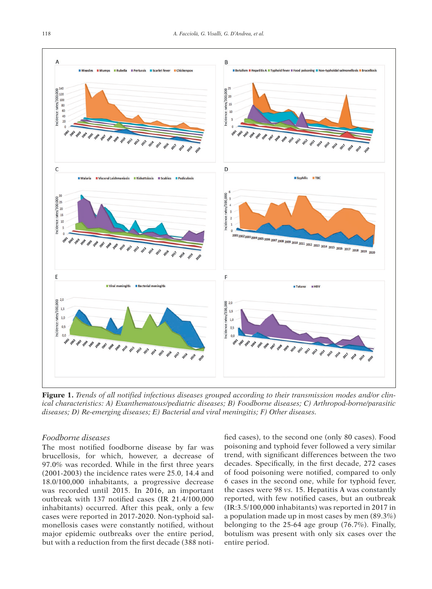

**Figure 1.** *Trends of all notified infectious diseases grouped according to their transmission modes and/or clinical characteristics: A) Exanthematous/pediatric diseases; B) Foodborne diseases; C) Arthropod-borne/parasitic diseases; D) Re-emerging diseases; E) Bacterial and viral meningitis; F) Other diseases.*

# *Foodborne diseases*

The most notified foodborne disease by far was brucellosis, for which, however, a decrease of 97.0% was recorded. While in the first three years (2001-2003) the incidence rates were 25.0, 14.4 and 18.0/100,000 inhabitants, a progressive decrease was recorded until 2015. In 2016, an important outbreak with 137 notified cases (IR 21.4/100,000 inhabitants) occurred. After this peak, only a few cases were reported in 2017-2020. Non-typhoid salmonellosis cases were constantly notified, without major epidemic outbreaks over the entire period, but with a reduction from the first decade (388 notified cases), to the second one (only 80 cases). Food poisoning and typhoid fever followed a very similar trend, with significant differences between the two decades. Specifically, in the first decade, 272 cases of food poisoning were notified, compared to only 6 cases in the second one, while for typhoid fever, the cases were 98 *vs.* 15. Hepatitis A was constantly reported, with few notified cases, but an outbreak (IR:3.5/100,000 inhabitants) was reported in 2017 in a population made up in most cases by men (89.3%) belonging to the 25-64 age group (76.7%). Finally, botulism was present with only six cases over the entire period.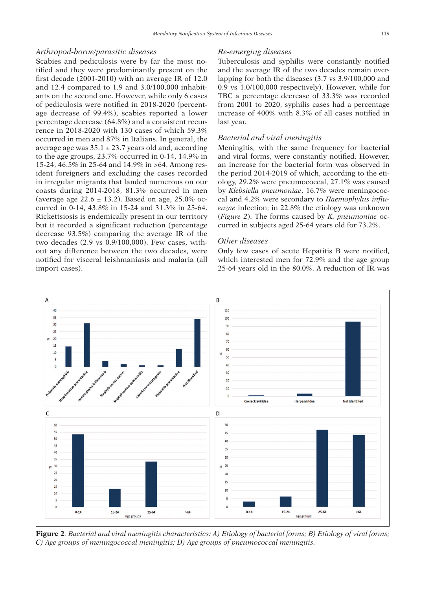#### *Arthropod-borne/parasitic diseases*

Scabies and pediculosis were by far the most notified and they were predominantly present on the first decade (2001-2010) with an average IR of 12.0 and 12.4 compared to 1.9 and 3.0/100,000 inhabitants on the second one. However, while only 6 cases of pediculosis were notified in 2018-2020 (percentage decrease of 99.4%), scabies reported a lower percentage decrease (64.8%) and a consistent recurrence in 2018-2020 with 130 cases of which 59.3% occurred in men and 87% in Italians. In general, the average age was  $35.1 \pm 23.7$  years old and, according to the age groups, 23.7% occurred in 0-14, 14.9% in 15-24, 46.5% in 25-64 and 14.9% in >64. Among resident foreigners and excluding the cases recorded in irregular migrants that landed numerous on our coasts during 2014-2018, 81.3% occurred in men (average age 22.6  $\pm$  13.2). Based on age, 25.0% occurred in 0-14, 43.8% in 15-24 and 31.3% in 25-64. Rickettsiosis is endemically present in our territory but it recorded a significant reduction (percentage decrease 93.5%) comparing the average IR of the two decades (2.9 vs 0.9/100,000). Few cases, without any difference between the two decades, were notified for visceral leishmaniasis and malaria (all import cases).

#### *Re-emerging diseases*

Tuberculosis and syphilis were constantly notified and the average IR of the two decades remain overlapping for both the diseases (3.7 vs 3.9/100,000 and 0.9 vs 1.0/100,000 respectively). However, while for TBC a percentage decrease of 33.3% was recorded from 2001 to 2020, syphilis cases had a percentage increase of 400% with 8.3% of all cases notified in last year.

# *Bacterial and viral meningitis*

Meningitis, with the same frequency for bacterial and viral forms, were constantly notified. However, an increase for the bacterial form was observed in the period 2014-2019 of which, according to the etiology, 29.2% were pneumococcal, 27.1% was caused by *Klebsiella pneumoniae*, 16.7% were meningococcal and 4.2% were secondary to *Haemophylus influenzae* infection; in 22.8% the etiology was unknown (*Figure 2*). The forms caused by *K. pneumoniae* occurred in subjects aged 25-64 years old for 73.2%.

#### *Other diseases*

Only few cases of acute Hepatitis B were notified, which interested men for 72.9% and the age group 25-64 years old in the 80.0%. A reduction of IR was



**Figure 2***. Bacterial and viral meningitis characteristics: A) Etiology of bacterial forms; B) Etiology of viral forms; C) Age groups of meningococcal meningitis; D) Age groups of pneumococcal meningitis.*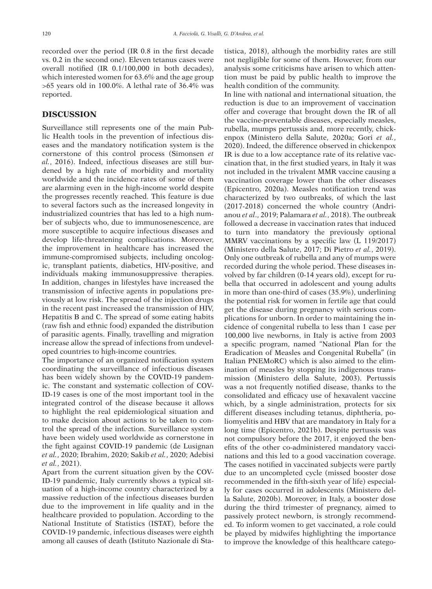recorded over the period (IR 0.8 in the first decade vs. 0.2 in the second one). Eleven tetanus cases were overall notified (IR 0.1/100,000 in both decades), which interested women for 63.6% and the age group >65 years old in 100.0%. A lethal rate of 36.4% was reported.

# **DISCUSSION**

Surveillance still represents one of the main Public Health tools in the prevention of infectious diseases and the mandatory notification system is the cornerstone of this control process (Simonsen *et al.*, 2016). Indeed, infectious diseases are still burdened by a high rate of morbidity and mortality worldwide and the incidence rates of some of them are alarming even in the high-income world despite the progresses recently reached. This feature is due to several factors such as the increased longevity in industrialized countries that has led to a high number of subjects who, due to immunosenescence, are more susceptible to acquire infectious diseases and develop life-threatening complications. Moreover, the improvement in healthcare has increased the immune-compromised subjects, including oncologic, transplant patients, diabetics, HIV-positive, and individuals making immunosuppressive therapies. In addition, changes in lifestyles have increased the transmission of infective agents in populations previously at low risk. The spread of the injection drugs in the recent past increased the transmission of HIV, Hepatitis B and C. The spread of some eating habits (raw fish and ethnic food) expanded the distribution of parasitic agents. Finally, travelling and migration increase allow the spread of infections from undeveloped countries to high-income countries.

The importance of an organized notification system coordinating the surveillance of infectious diseases has been widely shown by the COVID-19 pandemic. The constant and systematic collection of COV-ID-19 cases is one of the most important tool in the integrated control of the disease because it allows to highlight the real epidemiological situation and to make decision about actions to be taken to control the spread of the infection. Surveillance system have been widely used worldwide as cornerstone in the fight against COVID-19 pandemic (de Lusignan *et al.*, 2020; Ibrahim, 2020; Sakib *et al.*, 2020; Adebisi *et al.*, 2021).

Apart from the current situation given by the COV-ID-19 pandemic, Italy currently shows a typical situation of a high-income country characterized by a massive reduction of the infectious diseases burden due to the improvement in life quality and in the healthcare provided to population. According to the National Institute of Statistics (ISTAT), before the COVID-19 pandemic, infectious diseases were eighth among all causes of death (Istituto Nazionale di Statistica, 2018), although the morbidity rates are still not negligible for some of them. However, from our analysis some criticisms have arisen to which attention must be paid by public health to improve the health condition of the community.

In line with national and international situation, the reduction is due to an improvement of vaccination offer and coverage that brought down the IR of all the vaccine-preventable diseases, especially measles, rubella, mumps pertussis and, more recently, chickenpox (Ministero della Salute, 2020a; Gori *et al.*, 2020). Indeed, the difference observed in chickenpox IR is due to a low acceptance rate of its relative vaccination that, in the first studied years, in Italy it was not included in the trivalent MMR vaccine causing a vaccination coverage lower than the other diseases (Epicentro, 2020a). Measles notification trend was characterized by two outbreaks, of which the last (2017-2018) concerned the whole country (Andrianou *et al*., 2019; Palamara *et al.*, 2018). The outbreak followed a decrease in vaccination rates that induced to turn into mandatory the previously optional MMRV vaccinations by a specific law (L 119/2017) (Ministero della Salute, 2017; Di Pietro *et al.*, 2019). Only one outbreak of rubella and any of mumps were recorded during the whole period. These diseases involved by far children (0-14 years old), except for rubella that occurred in adolescent and young adults in more than one-third of cases (35.9%), underlining the potential risk for women in fertile age that could get the disease during pregnancy with serious complications for unborn. In order to maintaining the incidence of congenital rubella to less than 1 case per 100,000 live newborns, in Italy is active from 2003 a specific program, named "National Plan for the Eradication of Measles and Congenital Rubella" (in Italian PNEMoRC) which is also aimed to the elimination of measles by stopping its indigenous transmission (Ministero della Salute, 2003). Pertussis was a not frequently notified disease, thanks to the consolidated and efficacy use of hexavalent vaccine which, by a single administration, protects for six different diseases including tetanus, diphtheria, poliomyelitis and HBV that are mandatory in Italy for a long time (Epicentro, 2021b). Despite pertussis was not compulsory before the 2017, it enjoyed the benefits of the other co-administered mandatory vaccinations and this led to a good vaccination coverage. The cases notified in vaccinated subjects were partly due to an uncompleted cycle (missed booster dose recommended in the fifth-sixth year of life) especially for cases occurred in adolescents (Ministero della Salute, 2020b). Moreover, in Italy, a booster dose during the third trimester of pregnancy, aimed to passively protect newborn, is strongly recommended. To inform women to get vaccinated, a role could be played by midwifes highlighting the importance to improve the knowledge of this healthcare catego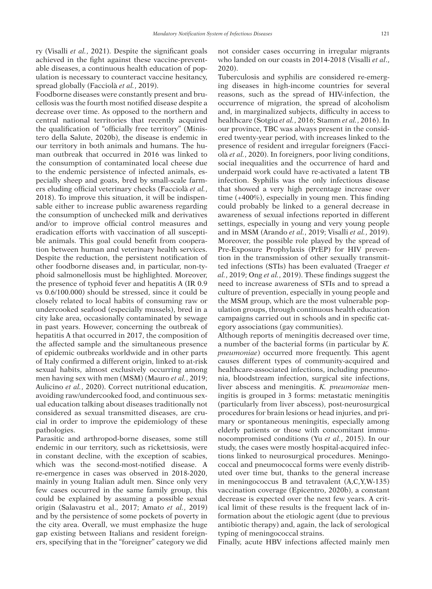ry (Visalli *et al.*, 2021). Despite the significant goals achieved in the fight against these vaccine-preventable diseases, a continuous health education of population is necessary to counteract vaccine hesitancy, spread globally (Facciolà *et al.*, 2019).

Foodborne diseases were constantly present and brucellosis was the fourth most notified disease despite a decrease over time. As opposed to the northern and central national territories that recently acquired the qualification of "officially free territory" (Ministero della Salute, 2020b), the disease is endemic in our territory in both animals and humans. The human outbreak that occurred in 2016 was linked to the consumption of contaminated local cheese due to the endemic persistence of infected animals, especially sheep and goats, bred by small-scale farmers eluding official veterinary checks (Facciolà *et al.*, 2018). To improve this situation, it will be indispensable either to increase public awareness regarding the consumption of unchecked milk and derivatives and/or to improve official control measures and eradication efforts with vaccination of all susceptible animals. This goal could benefit from cooperation between human and veterinary health services. Despite the reduction, the persistent notification of other foodborne diseases and, in particular, non-typhoid salmonellosis must be highlighted. Moreover, the presence of typhoid fever and hepatitis A (IR 0.9 vs 0.6/100.000) should be stressed, since it could be closely related to local habits of consuming raw or undercooked seafood (especially mussels), bred in a city lake area, occasionally contaminated by sewage in past years. However, concerning the outbreak of hepatitis A that occurred in 2017, the composition of the affected sample and the simultaneous presence of epidemic outbreaks worldwide and in other parts of Italy confirmed a different origin, linked to at-risk sexual habits, almost exclusively occurring among men having sex with men (MSM) (Mauro *et al.*, 2019; Aulicino *et al.*, 2020). Correct nutritional education, avoiding raw/undercooked food, and continuous sexual education talking about diseases traditionally not considered as sexual transmitted diseases, are crucial in order to improve the epidemiology of these pathologies.

Parasitic and arthropod-borne diseases, some still endemic in our territory, such as rickettsiosis, were in constant decline, with the exception of scabies, which was the second-most-notified disease. A re-emergence in cases was observed in 2018-2020, mainly in young Italian adult men. Since only very few cases occurred in the same family group, this could be explained by assuming a possible sexual origin (Salavastru et al., 2017; Amato *et al.*, 2019) and by the persistence of some pockets of poverty in the city area. Overall, we must emphasize the huge gap existing between Italians and resident foreigners, specifying that in the "foreigner" category we did not consider cases occurring in irregular migrants who landed on our coasts in 2014-2018 (Visalli *et al*., 2020).

Tuberculosis and syphilis are considered re-emerging diseases in high-income countries for several reasons, such as the spread of HIV-infection, the occurrence of migration, the spread of alcoholism and, in marginalized subjects, difficulty in access to healthcare (Sotgiu *et al.*, 2016; Stamm *et al.*, 2016). In our province, TBC was always present in the considered twenty-year period, with increases linked to the presence of resident and irregular foreigners (Facciolà *et al.*, 2020). In foreigners, poor living conditions, social inequalities and the occurrence of hard and underpaid work could have re-activated a latent TB infection. Syphilis was the only infectious disease that showed a very high percentage increase over time (+400%), especially in young men. This finding could probably be linked to a general decrease in awareness of sexual infections reported in different settings, especially in young and very young people and in MSM (Arando *et al.*, 2019; Visalli *et al.*, 2019). Moreover, the possible role played by the spread of Pre-Exposure Prophylaxis (PrEP) for HIV prevention in the transmission of other sexually transmitted infections (STIs) has been evaluated (Traeger *et al.*, 2019; Ong *et al.*, 2019). These findings suggest the need to increase awareness of STIs and to spread a culture of prevention, especially in young people and the MSM group, which are the most vulnerable population groups, through continuous health education campaigns carried out in schools and in specific category associations (gay communities).

Although reports of meningitis decreased over time, a number of the bacterial forms (in particular by *K. pneumoniae*) occurred more frequently. This agent causes different types of community-acquired and healthcare-associated infections, including pneumonia, bloodstream infection, surgical site infections, liver abscess and meningitis. *K. pneumoniae* meningitis is grouped in 3 forms: metastatic meningitis (particularly from liver abscess), post-neurosurgical procedures for brain lesions or head injuries, and primary or spontaneous meningitis, especially among elderly patients or those with concomitant immunocompromised conditions (Yu *et al.*, 2015). In our study, the cases were mostly hospital-acquired infections linked to neurosurgical procedures. Meningococcal and pneumococcal forms were evenly distributed over time but, thanks to the general increase in meningococcus B and tetravalent (A,C,Y,W-135) vaccination coverage (Epicentro, 2020b), a constant decrease is expected over the next few years. A critical limit of these results is the frequent lack of information about the etiologic agent (due to previous antibiotic therapy) and, again, the lack of serological typing of meningococcal strains.

Finally, acute HBV infections affected mainly men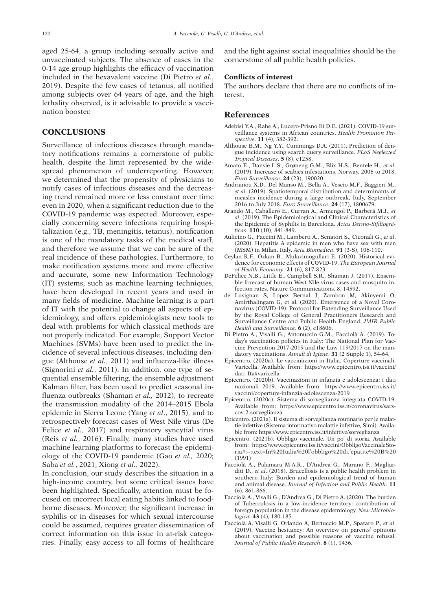aged 25-64, a group including sexually active and unvaccinated subjects. The absence of cases in the 0-14 age group highlights the efficacy of vaccination included in the hexavalent vaccine (Di Pietro *et al.*, 2019). Despite the few cases of tetanus, all notified among subjects over 64 years of age, and the high lethality observed, is it advisable to provide a vaccination booster.

#### **CONCLUSIONS**

Surveillance of infectious diseases through mandatory notifications remains a cornerstone of public health, despite the limit represented by the widespread phenomenon of underreporting. However, we determined that the propensity of physicians to notify cases of infectious diseases and the decreasing trend remained more or less constant over time even in 2020, when a significant reduction due to the COVID-19 pandemic was expected. Moreover, especially concerning severe infections requiring hospitalization (e.g., TB, meningitis, tetanus), notification is one of the mandatory tasks of the medical staff, and therefore we assume that we can be sure of the real incidence of these pathologies. Furthermore, to make notification systems more and more effective and accurate, some new Information Technology (IT) systems, such as machine learning techniques, have been developed in recent years and used in many fields of medicine. Machine learning is a part of IT with the potential to change all aspects of epidemiology, and offers epidemiologists new tools to deal with problems for which classical methods are not properly indicated. For example, Support Vector Machines (SVMs) have been used to predict the incidence of several infectious diseases, including dengue (Althouse *et al.*, 2011) and influenza-like illness (Signorini *et al.*, 2011). In addition, one type of sequential ensemble filtering, the ensemble adjustment Kalman filter, has been used to predict seasonal influenza outbreaks (Shaman *et al.,* 2012), to recreate the transmission modality of the 2014–2015 Ebola epidemic in Sierra Leone (Yang *et al*., 2015), and to retrospectively forecast cases of West Nile virus (De Felice *et al.*, 2017) and respiratory syncytial virus (Reis *et al.*, 2016). Finally, many studies have used machine learning platforms to forecast the epidemiology of the COVID-19 pandemic (Gao *et al.,* 2020; Saba *et al.*, 2021; Xiong *et al.,* 2022).

In conclusion, our study describes the situation in a high-income country, but some critical issues have been highlighted. Specifically, attention must be focused on incorrect local eating habits linked to foodborne diseases. Moreover, the significant increase in syphilis or in diseases for which sexual intercourse could be assumed, requires greater dissemination of correct information on this issue in at-risk categories. Finally, easy access to all forms of healthcare and the fight against social inequalities should be the cornerstone of all public health policies.

#### **Conflicts of interest**

The authors declare that there are no conflicts of interest.

### **References**

- Adebisi Y.A., Rabe A., Lucero-Prisno Iii D.E. (2021). COVID-19 surveillance systems in African countries. *Health Promotion Perspective*. **11** (4), 382-392.
- Althouse B.M., Ng Y.Y., Cummings D.A. (2011). Prediction of dengue incidence using search query surveillance. *PLoS Neglected Tropical Diseases*. **5** (8), e1258.
- Amato E., Dansie L.S., Grøneng G.M., Blix H.S., Bentele H., *et al*. (2019). Increase of scabies infestations, Norway, 2006 to 2018. *Euro Surveillance*. **24** (23), 190020.
- Andrianou X.D., Del Manso M., Bella A., Vescio M.F., Baggieri M., *et al*. (2019). Spatiotemporal distribution and determinants of measles incidence during a large outbreak, Italy, September 2016 to July 2018. *Euro Surveillance*. **24** (17), 1800679.
- Arando M., Caballero E., Curran A., Armengol P., Barberá M.J., *et al*. (2019). The Epidemiological and Clinical Characteristics of the Epidemic of Syphilis in Barcelona. *Actas Dermo-Sifiliográficas*. **110** (10), 841-849.
- Aulicino G., Faccini M., Lamberti A., Senatori S., Ciconali G., *et al*. (2020). Hepatitis A epidemic in men who have sex with men (MSM) in Milan, Italy. *Acta Biomedica*. **91** (3-S), 106-110.
- Ceylan R.F., Ozkan B., Mulazimogullari E. (2020). Historical evidence for economic effects of COVID-19. *The European Journal of Health Economy*. **21** (6), 817-823.
- DeFelice N.B., Little E., Campbell S.R., Shaman J. (2017). Ensemble forecast of human West Nile virus cases and mosquito infection rates. Nature Communications. 8, 14592.
- de Lusignan S, Lopez Bernal J, Zambon M, Akinyemi O, Amirthalingam G, et al. (2020). Emergence of a Novel Coronavirus (COVID-19): Protocol for Extending Surveillance Used by the Royal College of General Practitioners Research and Surveillance Centre and Public Health England. *JMIR Public Health and Surveillance*. **6** (2), e18606.
- Di Pietro A., Visalli G., Antonuccio G.M., Facciolà A. (2019). Today's vaccination policies in Italy: The National Plan for Vaccine Prevention 2017-2019 and the Law 119/2017 on the mandatory vaccinations. *Annali di Igiene*. **31** (2 Supple 1), 54-64.
- Epicentro. (2020a). Le vaccinazioni in Italia. Coperture vaccinali. Varicella. Available from: https://www.epicentro.iss.it/vaccini/ dati\_Ita#varicella
- Epicentro. (2020b). Vaccinazioni in infanzia e adolescenza: i dati nazionali 2019. Available from: https://www.epicentro.iss.it/ vaccini/coperture-infanzia-adolescenza-2019
- Epicentro. (2020c). Sistema di sorveglianza integrata COVID-19. Available from: https://www.epicentro.iss.it/coronavirus/sarscov-2-sorveglianza
- Epicentro. (2021a). Il sistema di sorveglianza routinario per le malattie infettive (Sistema informativo malattie infettive, Simi). Available from: https://www.epicentro.iss.it/infettive/sorveglianza
- Epicentro. (2021b). Obbligo vaccinale. Un po' di storia. Available from: https://www.epicentro.iss.it/vaccini/ObbligoVaccinaleStoria#:~:text=In%20Italia%20l'obbligo%20di,'epatite%20B%20 (1991)
- Facciolà A., Palamara M.A.R., D'Andrea G., Marano F., Magliarditi D., *et al*. (2018). Brucellosis is a public health problem in southern Italy: Burden and epidemiological trend of human and animal disease. *Journal of Infection and Public Health*. **11** (6), 861-866.
- Facciolà A., Visalli G., D'Andrea G., Di Pietro A. (2020). The burden of Tuberculosis in a low-incidence territory: contribution of foreign population in the disease epidemiology. *New Microbiologica*. **43** (4), 180-185.
- Facciolà A, Visalli G, Orlando A, Bertuccio M.P., Spataro P., *et al*. (2019). Vaccine hesitancy: An overview on parents' opinions about vaccination and possible reasons of vaccine refusal. *Journal of Public Health Research*. **8** (1), 1436.